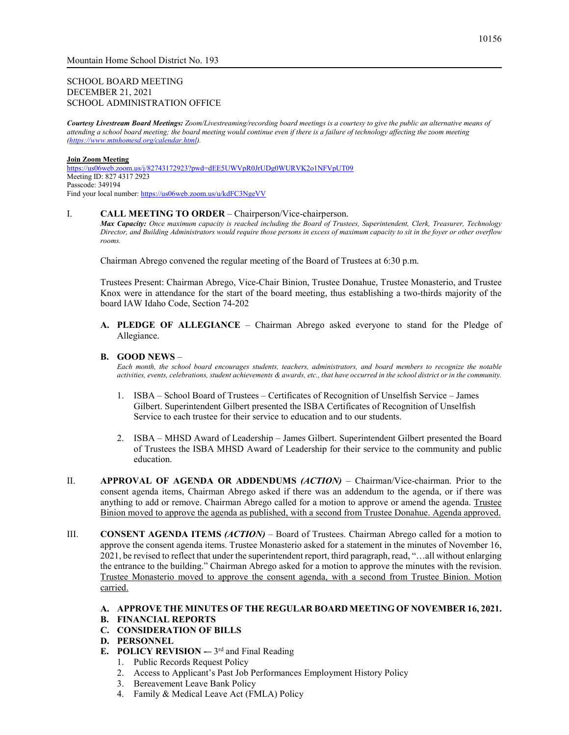### SCHOOL BOARD MEETING DECEMBER 21, 2021 SCHOOL ADMINISTRATION OFFICE

*Courtesy Livestream Board Meetings: Zoom/Livestreaming/recording board meetings is a courtesy to give the public an alternative means of attending a school board meeting; the board meeting would continue even if there is a failure of technology affecting the zoom meeting [\(https://www.mtnhomesd.org/calendar.html\)](https://www.mtnhomesd.org/calendar.html).*

#### **Join Zoom Meeting**

<https://us06web.zoom.us/j/82743172923?pwd=dEE5UWVpR0JrUDg0WURVK2o1NFVpUT09> Meeting ID: 827 4317 2923 Passcode: 349194 Find your local number[: https://us06web.zoom.us/u/kdFC3NgeVV](https://us06web.zoom.us/u/kdFC3NgeVV)

#### I. **CALL MEETING TO ORDER** – Chairperson/Vice-chairperson.

*Max Capacity: Once maximum capacity is reached including the Board of Trustees, Superintendent, Clerk, Treasurer, Technology Director, and Building Administrators would require those persons in excess of maximum capacity to sit in the foyer or other overflow rooms.*

Chairman Abrego convened the regular meeting of the Board of Trustees at 6:30 p.m.

Trustees Present: Chairman Abrego, Vice-Chair Binion, Trustee Donahue, Trustee Monasterio, and Trustee Knox were in attendance for the start of the board meeting, thus establishing a two-thirds majority of the board IAW Idaho Code, Section 74-202

**A. PLEDGE OF ALLEGIANCE** – Chairman Abrego asked everyone to stand for the Pledge of Allegiance.

#### **B. GOOD NEWS** –

*Each month, the school board encourages students, teachers, administrators, and board members to recognize the notable activities, events, celebrations, student achievements & awards, etc., that have occurred in the school district or in the community.*

- 1. ISBA School Board of Trustees Certificates of Recognition of Unselfish Service James Gilbert. Superintendent Gilbert presented the ISBA Certificates of Recognition of Unselfish Service to each trustee for their service to education and to our students.
- 2. ISBA MHSD Award of Leadership James Gilbert. Superintendent Gilbert presented the Board of Trustees the ISBA MHSD Award of Leadership for their service to the community and public education.
- II. **APPROVAL OF AGENDA OR ADDENDUMS** *(ACTION)* Chairman/Vice-chairman. Prior to the consent agenda items, Chairman Abrego asked if there was an addendum to the agenda, or if there was anything to add or remove. Chairman Abrego called for a motion to approve or amend the agenda. Trustee Binion moved to approve the agenda as published, with a second from Trustee Donahue. Agenda approved.
- III. **CONSENT AGENDA ITEMS** *(ACTION)* Board of Trustees. Chairman Abrego called for a motion to approve the consent agenda items. Trustee Monasterio asked for a statement in the minutes of November 16, 2021, be revised to reflect that under the superintendent report, third paragraph, read, "…all without enlarging the entrance to the building." Chairman Abrego asked for a motion to approve the minutes with the revision. Trustee Monasterio moved to approve the consent agenda, with a second from Trustee Binion. Motion carried.

# **A. APPROVE THE MINUTES OF THE REGULAR BOARD MEETING OF NOVEMBER 16, 2021.**

- **B. FINANCIAL REPORTS**
- **C. CONSIDERATION OF BILLS**
- **D. PERSONNEL**
- **E. POLICY REVISION**  $3^{rd}$  and Final Reading
	- 1. Public Records Request Policy
	- 2. Access to Applicant's Past Job Performances Employment History Policy
	- 3. Bereavement Leave Bank Policy
	- 4. Family & Medical Leave Act (FMLA) Policy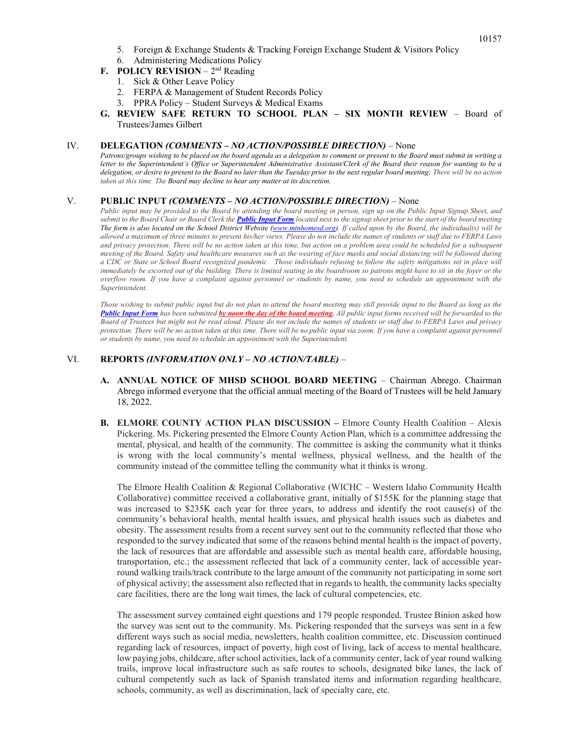- 5. Foreign & Exchange Students & Tracking Foreign Exchange Student & Visitors Policy
- 6. Administering Medications Policy
- **F. POLICY REVISION**  $2^{nd}$  Reading
	- 1. Sick & Other Leave Policy
	- 2. FERPA & Management of Student Records Policy
	- 3. PPRA Policy Student Surveys & Medical Exams
- **G. REVIEW SAFE RETURN TO SCHOOL PLAN – SIX MONTH REVIEW**  Board of Trustees/James Gilbert

#### IV. **DELEGATION** *(COMMENTS – NO ACTION/POSSIBLE DIRECTION)* – None

*Patrons/groups wishing to be placed on the board agenda as a delegation to comment or present to the Board must submit in writing a letter to the Superintendent's Office or Superintendent Administrative Assistant/Clerk of the Board their reason for wanting to be a delegation, or desire to present to the Board no later than the Tuesday prior to the next regular board meeting; There will be no action taken at this time. The Board may decline to hear any matter at its discretion.*

#### V. **PUBLIC INPUT** *(COMMENTS – NO ACTION/POSSIBLE DIRECTION)* – None

*Public input may be provided to the Board by attending the board meeting in person, sign up on the Public Input Signup Sheet, and submit to the Board Chair or Board Clerk the [Public Input Form](https://www.mtnhomesd.org/public-input-form.html) located next to the signup sheet prior to the start of the board meeting The form is also located on the School District Website [\(www.mtnhomesd.org\)](http://www.mtnhomesd.org/). If called upon by the Board, the individual(s) will be allowed a maximum of three minutes to present his/her views. Please do not include the names of students or staff due to FERPA Laws and privacy protection. There will be no action taken at this time, but action on a problem area could be scheduled for a subsequent meeting of the Board. Safety and healthcare measures such as the wearing of face masks and social distancing will be followed during a CDC or State or School Board recognized pandemic. Those individuals refusing to follow the safety mitigations set in place will immediately be escorted out of the building. There is limited seating in the boardroom so patrons might have to sit in the foyer or the overflow room. If you have a complaint against personnel or students by name, you need to schedule an appointment with the Superintendent.*

*Those wishing to submit public input but do not plan to attend the board meeting may still provide input to the Board as long as the*  **[Public Input Form](https://www.mtnhomesd.org/public-input-form.html)** has been submitted **by noon the day of the board meeting.** All public input forms received will be forwarded to the *Board of Trustees but might not be read aloud. Please do not include the names of students or staff due to FERPA Laws and privacy protection. There will be no action taken at this time. There will be no public input via zoom. If you have a complaint against personnel or students by name, you need to schedule an appointment with the Superintendent.*

## VI. **REPORTS** *(INFORMATION ONLY – NO ACTION/TABLE)* –

- **A. ANNUAL NOTICE OF MHSD SCHOOL BOARD MEETING** Chairman Abrego. Chairman Abrego informed everyone that the official annual meeting of the Board of Trustees will be held January 18, 2022.
- **B. ELMORE COUNTY ACTION PLAN DISCUSSION –** Elmore County Health Coalition Alexis Pickering. Ms. Pickering presented the Elmore County Action Plan, which is a committee addressing the mental, physical, and health of the community. The committee is asking the community what it thinks is wrong with the local community's mental wellness, physical wellness, and the health of the community instead of the committee telling the community what it thinks is wrong.

The Elmore Health Coalition & Regional Collaborative (WICHC – Western Idaho Community Health Collaborative) committee received a collaborative grant, initially of \$155K for the planning stage that was increased to \$235K each year for three years, to address and identify the root cause(s) of the community's behavioral health, mental health issues, and physical health issues such as diabetes and obesity. The assessment results from a recent survey sent out to the community reflected that those who responded to the survey indicated that some of the reasons behind mental health is the impact of poverty, the lack of resources that are affordable and assessible such as mental health care, affordable housing, transportation, etc.; the assessment reflected that lack of a community center, lack of accessible yearround walking trails/track contribute to the large amount of the community not participating in some sort of physical activity; the assessment also reflected that in regards to health, the community lacks specialty care facilities, there are the long wait times, the lack of cultural competencies, etc.

The assessment survey contained eight questions and 179 people responded. Trustee Binion asked how the survey was sent out to the community. Ms. Pickering responded that the surveys was sent in a few different ways such as social media, newsletters, health coalition committee, etc. Discussion continued regarding lack of resources, impact of poverty, high cost of living, lack of access to mental healthcare, low paying jobs, childcare, after school activities, lack of a community center, lack of year round walking trails, improve local infrastructure such as safe routes to schools, designated bike lanes, the lack of cultural competently such as lack of Spanish translated items and information regarding healthcare, schools, community, as well as discrimination, lack of specialty care, etc.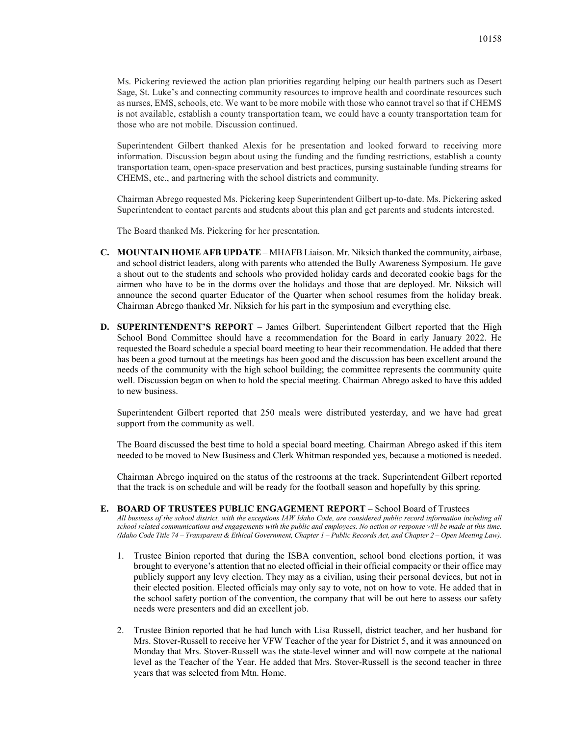Ms. Pickering reviewed the action plan priorities regarding helping our health partners such as Desert Sage, St. Luke's and connecting community resources to improve health and coordinate resources such as nurses, EMS, schools, etc. We want to be more mobile with those who cannot travel so that if CHEMS is not available, establish a county transportation team, we could have a county transportation team for those who are not mobile. Discussion continued.

Superintendent Gilbert thanked Alexis for he presentation and looked forward to receiving more information. Discussion began about using the funding and the funding restrictions, establish a county transportation team, open-space preservation and best practices, pursing sustainable funding streams for CHEMS, etc., and partnering with the school districts and community.

Chairman Abrego requested Ms. Pickering keep Superintendent Gilbert up-to-date. Ms. Pickering asked Superintendent to contact parents and students about this plan and get parents and students interested.

The Board thanked Ms. Pickering for her presentation.

- **C. MOUNTAIN HOME AFB UPDATE** MHAFB Liaison. Mr. Niksich thanked the community, airbase, and school district leaders, along with parents who attended the Bully Awareness Symposium. He gave a shout out to the students and schools who provided holiday cards and decorated cookie bags for the airmen who have to be in the dorms over the holidays and those that are deployed. Mr. Niksich will announce the second quarter Educator of the Quarter when school resumes from the holiday break. Chairman Abrego thanked Mr. Niksich for his part in the symposium and everything else.
- **D. SUPERINTENDENT'S REPORT** James Gilbert. Superintendent Gilbert reported that the High School Bond Committee should have a recommendation for the Board in early January 2022. He requested the Board schedule a special board meeting to hear their recommendation. He added that there has been a good turnout at the meetings has been good and the discussion has been excellent around the needs of the community with the high school building; the committee represents the community quite well. Discussion began on when to hold the special meeting. Chairman Abrego asked to have this added to new business.

Superintendent Gilbert reported that 250 meals were distributed yesterday, and we have had great support from the community as well.

The Board discussed the best time to hold a special board meeting. Chairman Abrego asked if this item needed to be moved to New Business and Clerk Whitman responded yes, because a motioned is needed.

Chairman Abrego inquired on the status of the restrooms at the track. Superintendent Gilbert reported that the track is on schedule and will be ready for the football season and hopefully by this spring.

- **E. BOARD OF TRUSTEES PUBLIC ENGAGEMENT REPORT** School Board of Trustees *All business of the school district, with the exceptions IAW Idaho Code, are considered public record information including all school related communications and engagements with the public and employees. No action or response will be made at this time. (Idaho Code Title 74 – Transparent & Ethical Government, Chapter 1 – Public Records Act, and Chapter 2 – Open Meeting Law).*
	- 1. Trustee Binion reported that during the ISBA convention, school bond elections portion, it was brought to everyone's attention that no elected official in their official compacity or their office may publicly support any levy election. They may as a civilian, using their personal devices, but not in their elected position. Elected officials may only say to vote, not on how to vote. He added that in the school safety portion of the convention, the company that will be out here to assess our safety needs were presenters and did an excellent job.
	- 2. Trustee Binion reported that he had lunch with Lisa Russell, district teacher, and her husband for Mrs. Stover-Russell to receive her VFW Teacher of the year for District 5, and it was announced on Monday that Mrs. Stover-Russell was the state-level winner and will now compete at the national level as the Teacher of the Year. He added that Mrs. Stover-Russell is the second teacher in three years that was selected from Mtn. Home.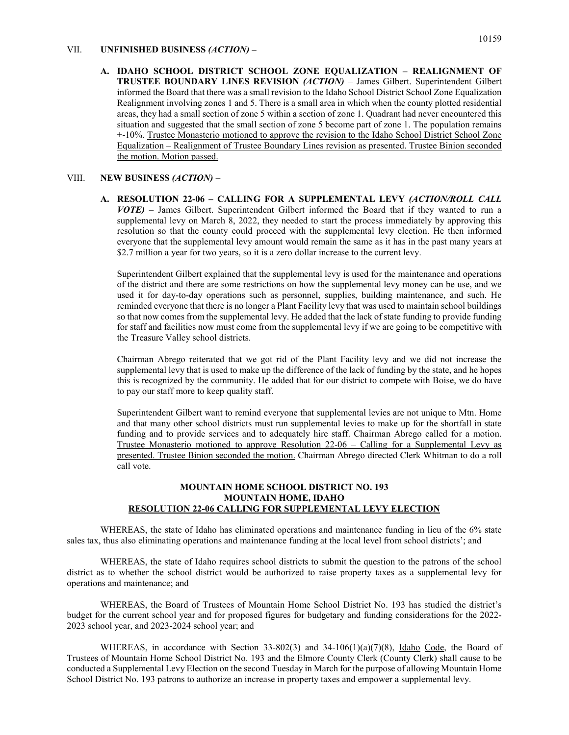#### VII. **UNFINISHED BUSINESS** *(ACTION)* **–**

**A. IDAHO SCHOOL DISTRICT SCHOOL ZONE EQUALIZATION – REALIGNMENT OF TRUSTEE BOUNDARY LINES REVISION** *(ACTION)* – James Gilbert. Superintendent Gilbert informed the Board that there was a small revision to the Idaho School District School Zone Equalization Realignment involving zones 1 and 5. There is a small area in which when the county plotted residential areas, they had a small section of zone 5 within a section of zone 1. Quadrant had never encountered this situation and suggested that the small section of zone 5 become part of zone 1. The population remains +-10%. Trustee Monasterio motioned to approve the revision to the Idaho School District School Zone Equalization – Realignment of Trustee Boundary Lines revision as presented. Trustee Binion seconded the motion. Motion passed.

#### VIII. **NEW BUSINESS** *(ACTION)* –

**A. RESOLUTION 22-06 – CALLING FOR A SUPPLEMENTAL LEVY** *(ACTION/ROLL CALL VOTE)* – James Gilbert. Superintendent Gilbert informed the Board that if they wanted to run a supplemental levy on March 8, 2022, they needed to start the process immediately by approving this resolution so that the county could proceed with the supplemental levy election. He then informed everyone that the supplemental levy amount would remain the same as it has in the past many years at \$2.7 million a year for two years, so it is a zero dollar increase to the current levy.

Superintendent Gilbert explained that the supplemental levy is used for the maintenance and operations of the district and there are some restrictions on how the supplemental levy money can be use, and we used it for day-to-day operations such as personnel, supplies, building maintenance, and such. He reminded everyone that there is no longer a Plant Facility levy that was used to maintain school buildings so that now comes from the supplemental levy. He added that the lack of state funding to provide funding for staff and facilities now must come from the supplemental levy if we are going to be competitive with the Treasure Valley school districts.

Chairman Abrego reiterated that we got rid of the Plant Facility levy and we did not increase the supplemental levy that is used to make up the difference of the lack of funding by the state, and he hopes this is recognized by the community. He added that for our district to compete with Boise, we do have to pay our staff more to keep quality staff.

Superintendent Gilbert want to remind everyone that supplemental levies are not unique to Mtn. Home and that many other school districts must run supplemental levies to make up for the shortfall in state funding and to provide services and to adequately hire staff. Chairman Abrego called for a motion. Trustee Monasterio motioned to approve Resolution 22-06 – Calling for a Supplemental Levy as presented. Trustee Binion seconded the motion. Chairman Abrego directed Clerk Whitman to do a roll call vote.

#### **MOUNTAIN HOME SCHOOL DISTRICT NO. 193 MOUNTAIN HOME, IDAHO RESOLUTION 22-06 CALLING FOR SUPPLEMENTAL LEVY ELECTION**

WHEREAS, the state of Idaho has eliminated operations and maintenance funding in lieu of the 6% state sales tax, thus also eliminating operations and maintenance funding at the local level from school districts'; and

WHEREAS, the state of Idaho requires school districts to submit the question to the patrons of the school district as to whether the school district would be authorized to raise property taxes as a supplemental levy for operations and maintenance; and

WHEREAS, the Board of Trustees of Mountain Home School District No. 193 has studied the district's budget for the current school year and for proposed figures for budgetary and funding considerations for the 2022- 2023 school year, and 2023-2024 school year; and

WHEREAS, in accordance with Section  $33-802(3)$  and  $34-106(1)(a)(7)(8)$ , Idaho Code, the Board of Trustees of Mountain Home School District No. 193 and the Elmore County Clerk (County Clerk) shall cause to be conducted a Supplemental Levy Election on the second Tuesday in March for the purpose of allowing Mountain Home School District No. 193 patrons to authorize an increase in property taxes and empower a supplemental levy.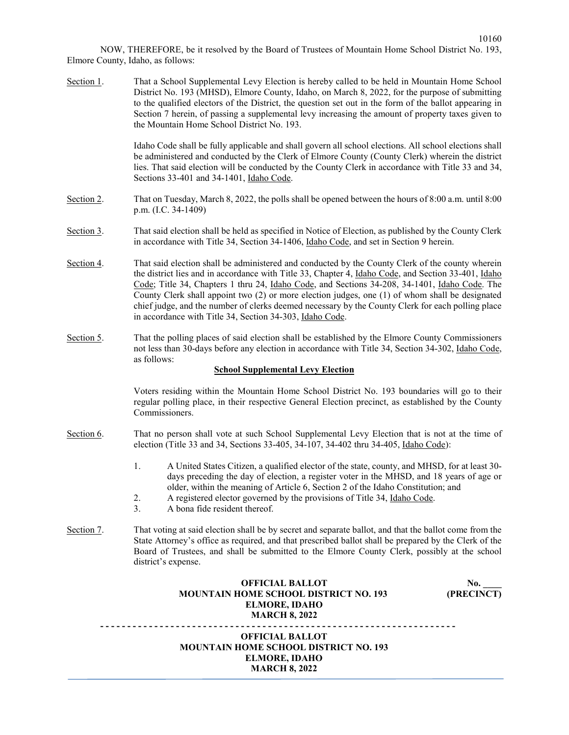NOW, THEREFORE, be it resolved by the Board of Trustees of Mountain Home School District No. 193, Elmore County, Idaho, as follows:

|            | <b>OFFICIAL BALLOT</b><br><b>MOUNTAIN HOME SCHOOL DISTRICT NO. 193</b><br><b>ELMORE, IDAHO</b><br><b>MARCH 8, 2022</b>                                                                                                                                                                                                                                                                                                                                                                                                                                                                      |
|------------|---------------------------------------------------------------------------------------------------------------------------------------------------------------------------------------------------------------------------------------------------------------------------------------------------------------------------------------------------------------------------------------------------------------------------------------------------------------------------------------------------------------------------------------------------------------------------------------------|
|            | <b>OFFICIAL BALLOT</b><br>No.<br>(PRECINCT)<br><b>MOUNTAIN HOME SCHOOL DISTRICT NO. 193</b><br><b>ELMORE, IDAHO</b><br><b>MARCH 8, 2022</b>                                                                                                                                                                                                                                                                                                                                                                                                                                                 |
| Section 7. | That voting at said election shall be by secret and separate ballot, and that the ballot come from the<br>State Attorney's office as required, and that prescribed ballot shall be prepared by the Clerk of the<br>Board of Trustees, and shall be submitted to the Elmore County Clerk, possibly at the school<br>district's expense.                                                                                                                                                                                                                                                      |
|            | 1.<br>A United States Citizen, a qualified elector of the state, county, and MHSD, for at least 30-<br>days preceding the day of election, a register voter in the MHSD, and 18 years of age or<br>older, within the meaning of Article 6, Section 2 of the Idaho Constitution; and<br>2.<br>A registered elector governed by the provisions of Title 34, Idaho Code.<br>3.<br>A bona fide resident thereof.                                                                                                                                                                                |
| Section 6. | regular polling place, in their respective General Election precinct, as established by the County<br>Commissioners.<br>That no person shall vote at such School Supplemental Levy Election that is not at the time of<br>election (Title 33 and 34, Sections 33-405, 34-107, 34-402 thru 34-405, Idaho Code):                                                                                                                                                                                                                                                                              |
|            | Voters residing within the Mountain Home School District No. 193 boundaries will go to their                                                                                                                                                                                                                                                                                                                                                                                                                                                                                                |
| Section 5. | That the polling places of said election shall be established by the Elmore County Commissioners<br>not less than 30-days before any election in accordance with Title 34, Section 34-302, Idaho Code,<br>as follows:<br><b>School Supplemental Levy Election</b>                                                                                                                                                                                                                                                                                                                           |
| Section 4. | That said election shall be administered and conducted by the County Clerk of the county wherein<br>the district lies and in accordance with Title 33, Chapter 4, <i>Idaho Code</i> , and Section 33-401, <i>Idaho</i><br>Code; Title 34, Chapters 1 thru 24, Idaho Code, and Sections 34-208, 34-1401, Idaho Code. The<br>County Clerk shall appoint two (2) or more election judges, one (1) of whom shall be designated<br>chief judge, and the number of clerks deemed necessary by the County Clerk for each polling place<br>in accordance with Title 34, Section 34-303, Idaho Code. |
| Section 3. | That said election shall be held as specified in Notice of Election, as published by the County Clerk<br>in accordance with Title 34, Section 34-1406, Idaho Code, and set in Section 9 herein.                                                                                                                                                                                                                                                                                                                                                                                             |
| Section 2. | That on Tuesday, March 8, 2022, the polls shall be opened between the hours of 8:00 a.m. until 8:00<br>p.m. (I.C. 34-1409)                                                                                                                                                                                                                                                                                                                                                                                                                                                                  |
|            | Idaho Code shall be fully applicable and shall govern all school elections. All school elections shall<br>be administered and conducted by the Clerk of Elmore County (County Clerk) wherein the district<br>lies. That said election will be conducted by the County Clerk in accordance with Title 33 and 34,<br>Sections 33-401 and 34-1401, Idaho Code.                                                                                                                                                                                                                                 |
| Section 1. | That a School Supplemental Levy Election is hereby called to be held in Mountain Home School<br>District No. 193 (MHSD), Elmore County, Idaho, on March 8, 2022, for the purpose of submitting<br>to the qualified electors of the District, the question set out in the form of the ballot appearing in<br>Section 7 herein, of passing a supplemental levy increasing the amount of property taxes given to<br>the Mountain Home School District No. 193.                                                                                                                                 |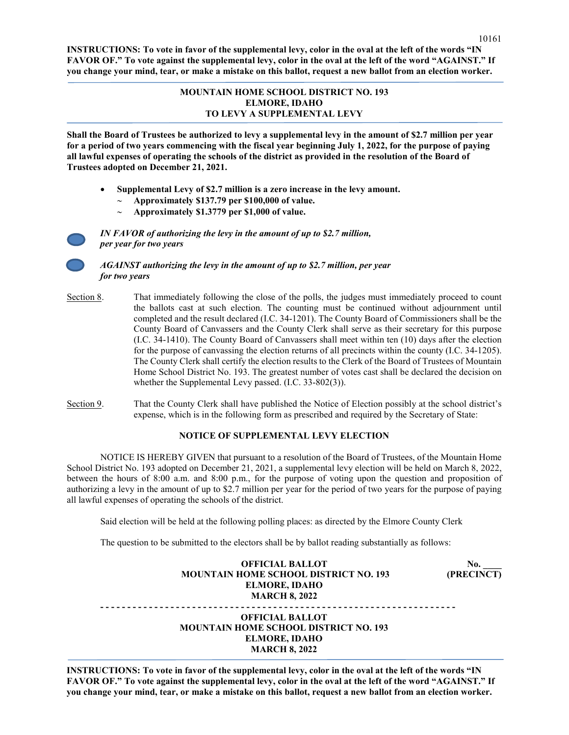**INSTRUCTIONS: To vote in favor of the supplemental levy, color in the oval at the left of the words "IN FAVOR OF." To vote against the supplemental levy, color in the oval at the left of the word "AGAINST." If you change your mind, tear, or make a mistake on this ballot, request a new ballot from an election worker.** 

#### **MOUNTAIN HOME SCHOOL DISTRICT NO. 193 ELMORE, IDAHO TO LEVY A SUPPLEMENTAL LEVY**

**Shall the Board of Trustees be authorized to levy a supplemental levy in the amount of \$2.7 million per year for a period of two years commencing with the fiscal year beginning July 1, 2022, for the purpose of paying all lawful expenses of operating the schools of the district as provided in the resolution of the Board of Trustees adopted on December 21, 2021.**

- **Supplemental Levy of \$2.7 million is a zero increase in the levy amount.**
	- ∼ **Approximately \$137.79 per \$100,000 of value.**
	- ∼ **Approximately \$1.3779 per \$1,000 of value.**

*IN FAVOR of authorizing the levy in the amount of up to \$2.7 million, per year for two years*

 *AGAINST authorizing the levy in the amount of up to \$2.7 million, per year for two years*

- Section 8. That immediately following the close of the polls, the judges must immediately proceed to count the ballots cast at such election. The counting must be continued without adjournment until completed and the result declared (I.C. 34-1201). The County Board of Commissioners shall be the County Board of Canvassers and the County Clerk shall serve as their secretary for this purpose (I.C. 34-1410). The County Board of Canvassers shall meet within ten (10) days after the election for the purpose of canvassing the election returns of all precincts within the county (I.C. 34-1205). The County Clerk shall certify the election results to the Clerk of the Board of Trustees of Mountain Home School District No. 193. The greatest number of votes cast shall be declared the decision on whether the Supplemental Levy passed. (I.C. 33-802(3)).
- Section 9. That the County Clerk shall have published the Notice of Election possibly at the school district's expense, which is in the following form as prescribed and required by the Secretary of State:

### **NOTICE OF SUPPLEMENTAL LEVY ELECTION**

NOTICE IS HEREBY GIVEN that pursuant to a resolution of the Board of Trustees, of the Mountain Home School District No. 193 adopted on December 21, 2021, a supplemental levy election will be held on March 8, 2022, between the hours of 8:00 a.m. and 8:00 p.m., for the purpose of voting upon the question and proposition of authorizing a levy in the amount of up to \$2.7 million per year for the period of two years for the purpose of paying all lawful expenses of operating the schools of the district.

Said election will be held at the following polling places: as directed by the Elmore County Clerk

The question to be submitted to the electors shall be by ballot reading substantially as follows:

**OFFICIAL BALLOT** No.  **MOUNTAIN HOME SCHOOL DISTRICT NO. 193 (PRECINCT) ELMORE, IDAHO MARCH 8, 2022**

**- - - - - - - - - - - - - - - - - - - - - - - - - - - - - - - - - - - - - - - - - - - - - - - - - - - - - - - - - - - - - - - - - - OFFICIAL BALLOT MOUNTAIN HOME SCHOOL DISTRICT NO. 193 ELMORE, IDAHO MARCH 8, 2022**

**INSTRUCTIONS: To vote in favor of the supplemental levy, color in the oval at the left of the words "IN FAVOR OF." To vote against the supplemental levy, color in the oval at the left of the word "AGAINST." If you change your mind, tear, or make a mistake on this ballot, request a new ballot from an election worker.**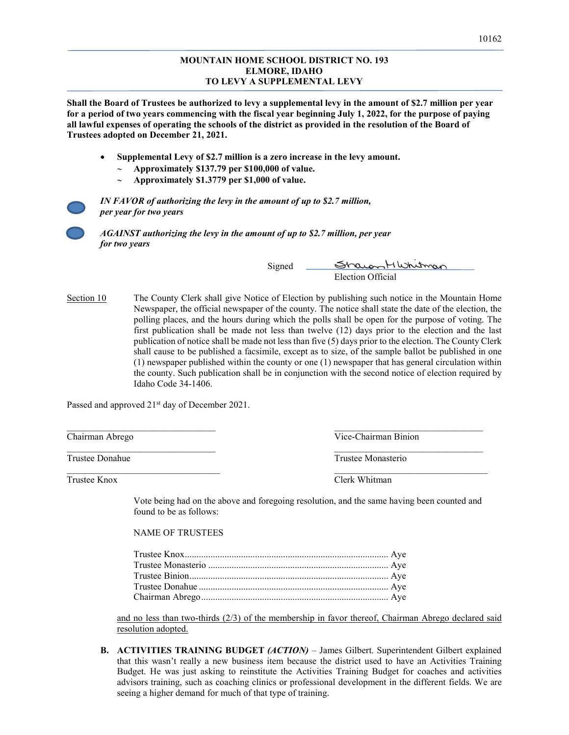#### **MOUNTAIN HOME SCHOOL DISTRICT NO. 193 ELMORE, IDAHO TO LEVY A SUPPLEMENTAL LEVY**

**Shall the Board of Trustees be authorized to levy a supplemental levy in the amount of \$2.7 million per year for a period of two years commencing with the fiscal year beginning July 1, 2022, for the purpose of paying all lawful expenses of operating the schools of the district as provided in the resolution of the Board of Trustees adopted on December 21, 2021.**

- **Supplemental Levy of \$2.7 million is a zero increase in the levy amount.**
	- ∼ **Approximately \$137.79 per \$100,000 of value.**
	- ∼ **Approximately \$1.3779 per \$1,000 of value.**

*IN FAVOR of authorizing the levy in the amount of up to \$2.7 million, per year for two years* 

 *AGAINST authorizing the levy in the amount of up to \$2.7 million, per year for two years*

> Signed Strawon HWhitman Election Official

Section 10 The County Clerk shall give Notice of Election by publishing such notice in the Mountain Home Newspaper, the official newspaper of the county. The notice shall state the date of the election, the polling places, and the hours during which the polls shall be open for the purpose of voting. The first publication shall be made not less than twelve (12) days prior to the election and the last publication of notice shall be made not less than five (5) days prior to the election. The County Clerk shall cause to be published a facsimile, except as to size, of the sample ballot be published in one (1) newspaper published within the county or one (1) newspaper that has general circulation within the county. Such publication shall be in conjunction with the second notice of election required by Idaho Code 34-1406.

 $\mathcal{L}_\text{max}$  , and the contribution of the contribution of the contribution of the contribution of the contribution of the contribution of the contribution of the contribution of the contribution of the contribution of t

 $\overline{\phantom{a}}$  , and the set of the set of the set of the set of the set of the set of the set of the set of the set of the set of the set of the set of the set of the set of the set of the set of the set of the set of the s

 $\frac{1}{2}$  ,  $\frac{1}{2}$  ,  $\frac{1}{2}$  ,  $\frac{1}{2}$  ,  $\frac{1}{2}$  ,  $\frac{1}{2}$  ,  $\frac{1}{2}$  ,  $\frac{1}{2}$  ,  $\frac{1}{2}$  ,  $\frac{1}{2}$  ,  $\frac{1}{2}$  ,  $\frac{1}{2}$  ,  $\frac{1}{2}$  ,  $\frac{1}{2}$  ,  $\frac{1}{2}$  ,  $\frac{1}{2}$  ,  $\frac{1}{2}$  ,  $\frac{1}{2}$  ,  $\frac{1$ 

Passed and approved 21<sup>st</sup> day of December 2021.

Chairman Abrego Vice-Chairman Binion

Trustee Donahue Trustee Monasterio

Trustee Knox Clerk Whitman

Vote being had on the above and foregoing resolution, and the same having been counted and found to be as follows:

#### NAME OF TRUSTEES

and no less than two-thirds (2/3) of the membership in favor thereof, Chairman Abrego declared said resolution adopted.

**B. ACTIVITIES TRAINING BUDGET** *(ACTION)* – James Gilbert. Superintendent Gilbert explained that this wasn't really a new business item because the district used to have an Activities Training Budget. He was just asking to reinstitute the Activities Training Budget for coaches and activities advisors training, such as coaching clinics or professional development in the different fields. We are seeing a higher demand for much of that type of training.